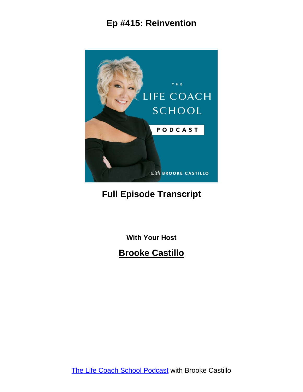

#### **Full Episode Transcript**

**With Your Host**

#### **Brooke Castillo**

The Life Coach School [Podcast](http://www.thelifecoachschool.com/) with Brooke Castillo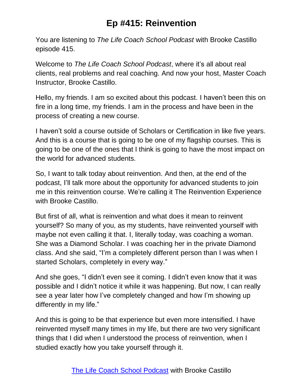You are listening to *The Life Coach School Podcast* with Brooke Castillo episode 415.

Welcome to *The Life Coach School Podcast*, where it's all about real clients, real problems and real coaching. And now your host, Master Coach Instructor, Brooke Castillo.

Hello, my friends. I am so excited about this podcast. I haven't been this on fire in a long time, my friends. I am in the process and have been in the process of creating a new course.

I haven't sold a course outside of Scholars or Certification in like five years. And this is a course that is going to be one of my flagship courses. This is going to be one of the ones that I think is going to have the most impact on the world for advanced students.

So, I want to talk today about reinvention. And then, at the end of the podcast, I'll talk more about the opportunity for advanced students to join me in this reinvention course. We're calling it The Reinvention Experience with Brooke Castillo.

But first of all, what is reinvention and what does it mean to reinvent yourself? So many of you, as my students, have reinvented yourself with maybe not even calling it that. I, literally today, was coaching a woman. She was a Diamond Scholar. I was coaching her in the private Diamond class. And she said, "I'm a completely different person than I was when I started Scholars, completely in every way."

And she goes, "I didn't even see it coming. I didn't even know that it was possible and I didn't notice it while it was happening. But now, I can really see a year later how I've completely changed and how I'm showing up differently in my life."

And this is going to be that experience but even more intensified. I have reinvented myself many times in my life, but there are two very significant things that I did when I understood the process of reinvention, when I studied exactly how you take yourself through it.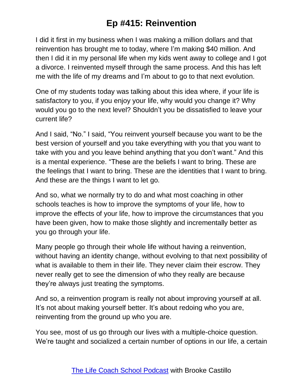I did it first in my business when I was making a million dollars and that reinvention has brought me to today, where I'm making \$40 million. And then I did it in my personal life when my kids went away to college and I got a divorce. I reinvented myself through the same process. And this has left me with the life of my dreams and I'm about to go to that next evolution.

One of my students today was talking about this idea where, if your life is satisfactory to you, if you enjoy your life, why would you change it? Why would you go to the next level? Shouldn't you be dissatisfied to leave your current life?

And I said, "No." I said, "You reinvent yourself because you want to be the best version of yourself and you take everything with you that you want to take with you and you leave behind anything that you don't want." And this is a mental experience. "These are the beliefs I want to bring. These are the feelings that I want to bring. These are the identities that I want to bring. And these are the things I want to let go.

And so, what we normally try to do and what most coaching in other schools teaches is how to improve the symptoms of your life, how to improve the effects of your life, how to improve the circumstances that you have been given, how to make those slightly and incrementally better as you go through your life.

Many people go through their whole life without having a reinvention, without having an identity change, without evolving to that next possibility of what is available to them in their life. They never claim their escrow. They never really get to see the dimension of who they really are because they're always just treating the symptoms.

And so, a reinvention program is really not about improving yourself at all. It's not about making yourself better. It's about redoing who you are, reinventing from the ground up who you are.

You see, most of us go through our lives with a multiple-choice question. We're taught and socialized a certain number of options in our life, a certain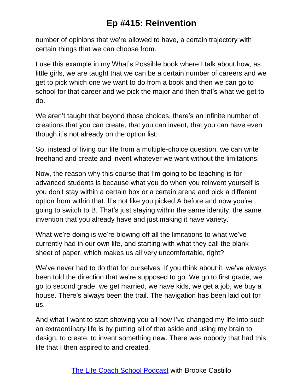number of opinions that we're allowed to have, a certain trajectory with certain things that we can choose from.

I use this example in my What's Possible book where I talk about how, as little girls, we are taught that we can be a certain number of careers and we get to pick which one we want to do from a book and then we can go to school for that career and we pick the major and then that's what we get to do.

We aren't taught that beyond those choices, there's an infinite number of creations that you can create, that you can invent, that you can have even though it's not already on the option list.

So, instead of living our life from a multiple-choice question, we can write freehand and create and invent whatever we want without the limitations.

Now, the reason why this course that I'm going to be teaching is for advanced students is because what you do when you reinvent yourself is you don't stay within a certain box or a certain arena and pick a different option from within that. It's not like you picked A before and now you're going to switch to B. That's just staying within the same identity, the same invention that you already have and just making it have variety.

What we're doing is we're blowing off all the limitations to what we've currently had in our own life, and starting with what they call the blank sheet of paper, which makes us all very uncomfortable, right?

We've never had to do that for ourselves. If you think about it, we've always been told the direction that we're supposed to go. We go to first grade, we go to second grade, we get married, we have kids, we get a job, we buy a house. There's always been the trail. The navigation has been laid out for us.

And what I want to start showing you all how I've changed my life into such an extraordinary life is by putting all of that aside and using my brain to design, to create, to invent something new. There was nobody that had this life that I then aspired to and created.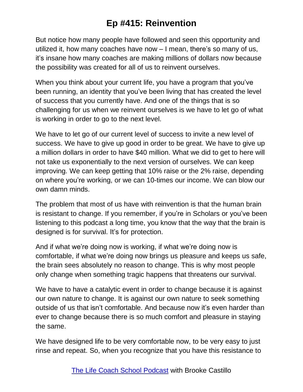But notice how many people have followed and seen this opportunity and utilized it, how many coaches have now – I mean, there's so many of us, it's insane how many coaches are making millions of dollars now because the possibility was created for all of us to reinvent ourselves.

When you think about your current life, you have a program that you've been running, an identity that you've been living that has created the level of success that you currently have. And one of the things that is so challenging for us when we reinvent ourselves is we have to let go of what is working in order to go to the next level.

We have to let go of our current level of success to invite a new level of success. We have to give up good in order to be great. We have to give up a million dollars in order to have \$40 million. What we did to get to here will not take us exponentially to the next version of ourselves. We can keep improving. We can keep getting that 10% raise or the 2% raise, depending on where you're working, or we can 10-times our income. We can blow our own damn minds.

The problem that most of us have with reinvention is that the human brain is resistant to change. If you remember, if you're in Scholars or you've been listening to this podcast a long time, you know that the way that the brain is designed is for survival. It's for protection.

And if what we're doing now is working, if what we're doing now is comfortable, if what we're doing now brings us pleasure and keeps us safe, the brain sees absolutely no reason to change. This is why most people only change when something tragic happens that threatens our survival.

We have to have a catalytic event in order to change because it is against our own nature to change. It is against our own nature to seek something outside of us that isn't comfortable. And because now it's even harder than ever to change because there is so much comfort and pleasure in staying the same.

We have designed life to be very comfortable now, to be very easy to just rinse and repeat. So, when you recognize that you have this resistance to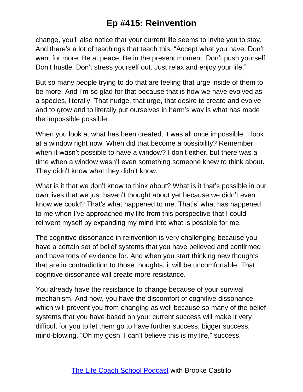change, you'll also notice that your current life seems to invite you to stay. And there's a lot of teachings that teach this, "Accept what you have. Don't want for more. Be at peace. Be in the present moment. Don't push yourself. Don't hustle. Don't stress yourself out. Just relax and enjoy your life."

But so many people trying to do that are feeling that urge inside of them to be more. And I'm so glad for that because that is how we have evolved as a species, literally. That nudge, that urge, that desire to create and evolve and to grow and to literally put ourselves in harm's way is what has made the impossible possible.

When you look at what has been created, it was all once impossible. I look at a window right now. When did that become a possibility? Remember when it wasn't possible to have a window? I don't either, but there was a time when a window wasn't even something someone knew to think about. They didn't know what they didn't know.

What is it that we don't know to think about? What is it that's possible in our own lives that we just haven't thought about yet because we didn't even know we could? That's what happened to me. That's' what has happened to me when I've approached my life from this perspective that I could reinvent myself by expanding my mind into what is possible for me.

The cognitive dissonance in reinvention is very challenging because you have a certain set of belief systems that you have believed and confirmed and have tons of evidence for. And when you start thinking new thoughts that are in contradiction to those thoughts, it will be uncomfortable. That cognitive dissonance will create more resistance.

You already have the resistance to change because of your survival mechanism. And now, you have the discomfort of cognitive dissonance, which will prevent you from changing as well because so many of the belief systems that you have based on your current success will make it very difficult for you to let them go to have further success, bigger success, mind-blowing, "Oh my gosh, I can't believe this is my life," success,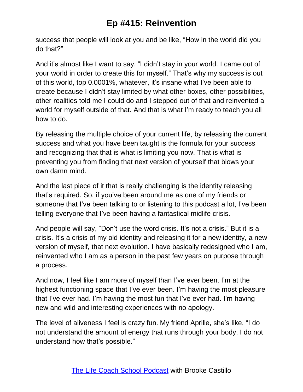success that people will look at you and be like, "How in the world did you do that?"

And it's almost like I want to say. "I didn't stay in your world. I came out of your world in order to create this for myself." That's why my success is out of this world, top 0.0001%, whatever, it's insane what I've been able to create because I didn't stay limited by what other boxes, other possibilities, other realities told me I could do and I stepped out of that and reinvented a world for myself outside of that. And that is what I'm ready to teach you all how to do.

By releasing the multiple choice of your current life, by releasing the current success and what you have been taught is the formula for your success and recognizing that that is what is limiting you now. That is what is preventing you from finding that next version of yourself that blows your own damn mind.

And the last piece of it that is really challenging is the identity releasing that's required. So, if you've been around me as one of my friends or someone that I've been talking to or listening to this podcast a lot, I've been telling everyone that I've been having a fantastical midlife crisis.

And people will say, "Don't use the word crisis. It's not a crisis." But it is a crisis. It's a crisis of my old identity and releasing it for a new identity, a new version of myself, that next evolution. I have basically redesigned who I am, reinvented who I am as a person in the past few years on purpose through a process.

And now, I feel like I am more of myself than I've ever been. I'm at the highest functioning space that I've ever been. I'm having the most pleasure that I've ever had. I'm having the most fun that I've ever had. I'm having new and wild and interesting experiences with no apology.

The level of aliveness I feel is crazy fun. My friend Aprille, she's like, "I do not understand the amount of energy that runs through your body. I do not understand how that's possible."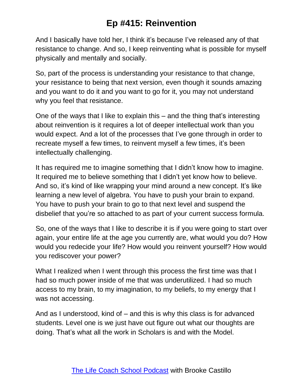And I basically have told her, I think it's because I've released any of that resistance to change. And so, I keep reinventing what is possible for myself physically and mentally and socially.

So, part of the process is understanding your resistance to that change, your resistance to being that next version, even though it sounds amazing and you want to do it and you want to go for it, you may not understand why you feel that resistance.

One of the ways that I like to explain this – and the thing that's interesting about reinvention is it requires a lot of deeper intellectual work than you would expect. And a lot of the processes that I've gone through in order to recreate myself a few times, to reinvent myself a few times, it's been intellectually challenging.

It has required me to imagine something that I didn't know how to imagine. It required me to believe something that I didn't yet know how to believe. And so, it's kind of like wrapping your mind around a new concept. It's like learning a new level of algebra. You have to push your brain to expand. You have to push your brain to go to that next level and suspend the disbelief that you're so attached to as part of your current success formula.

So, one of the ways that I like to describe it is if you were going to start over again, your entire life at the age you currently are, what would you do? How would you redecide your life? How would you reinvent yourself? How would you rediscover your power?

What I realized when I went through this process the first time was that I had so much power inside of me that was underutilized. I had so much access to my brain, to my imagination, to my beliefs, to my energy that I was not accessing.

And as I understood, kind of – and this is why this class is for advanced students. Level one is we just have out figure out what our thoughts are doing. That's what all the work in Scholars is and with the Model.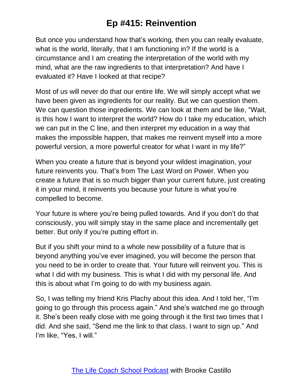But once you understand how that's working, then you can really evaluate, what is the world, literally, that I am functioning in? If the world is a circumstance and I am creating the interpretation of the world with my mind, what are the raw ingredients to that interpretation? And have I evaluated it? Have I looked at that recipe?

Most of us will never do that our entire life. We will simply accept what we have been given as ingredients for our reality. But we can question them. We can question those ingredients. We can look at them and be like, "Wait, is this how I want to interpret the world? How do I take my education, which we can put in the C line, and then interpret my education in a way that makes the impossible happen, that makes me reinvent myself into a more powerful version, a more powerful creator for what I want in my life?"

When you create a future that is beyond your wildest imagination, your future reinvents you. That's from The Last Word on Power. When you create a future that is so much bigger than your current future, just creating it in your mind, it reinvents you because your future is what you're compelled to become.

Your future is where you're being pulled towards. And if you don't do that consciously, you will simply stay in the same place and incrementally get better. But only if you're putting effort in.

But if you shift your mind to a whole new possibility of a future that is beyond anything you've ever imagined, you will become the person that you need to be in order to create that. Your future will reinvent you. This is what I did with my business. This is what I did with my personal life. And this is about what I'm going to do with my business again.

So, I was telling my friend Kris Plachy about this idea. And I told her, "I'm going to go through this process again." And she's watched me go through it. She's been really close with me going through it the first two times that I did. And she said, "Send me the link to that class. I want to sign up." And I'm like, "Yes, I will."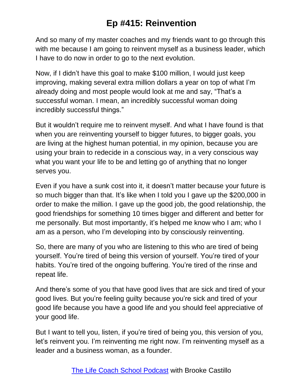And so many of my master coaches and my friends want to go through this with me because I am going to reinvent myself as a business leader, which I have to do now in order to go to the next evolution.

Now, if I didn't have this goal to make \$100 million, I would just keep improving, making several extra million dollars a year on top of what I'm already doing and most people would look at me and say, "That's a successful woman. I mean, an incredibly successful woman doing incredibly successful things."

But it wouldn't require me to reinvent myself. And what I have found is that when you are reinventing yourself to bigger futures, to bigger goals, you are living at the highest human potential, in my opinion, because you are using your brain to redecide in a conscious way, in a very conscious way what you want your life to be and letting go of anything that no longer serves you.

Even if you have a sunk cost into it, it doesn't matter because your future is so much bigger than that. It's like when I told you I gave up the \$200,000 in order to make the million. I gave up the good job, the good relationship, the good friendships for something 10 times bigger and different and better for me personally. But most importantly, it's helped me know who I am; who I am as a person, who I'm developing into by consciously reinventing.

So, there are many of you who are listening to this who are tired of being yourself. You're tired of being this version of yourself. You're tired of your habits. You're tired of the ongoing buffering. You're tired of the rinse and repeat life.

And there's some of you that have good lives that are sick and tired of your good lives. But you're feeling guilty because you're sick and tired of your good life because you have a good life and you should feel appreciative of your good life.

But I want to tell you, listen, if you're tired of being you, this version of you, let's reinvent you. I'm reinventing me right now. I'm reinventing myself as a leader and a business woman, as a founder.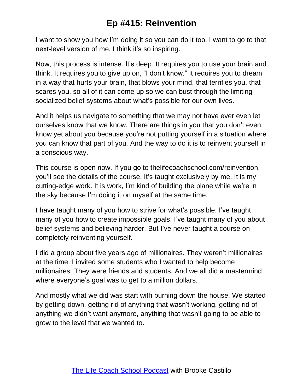I want to show you how I'm doing it so you can do it too. I want to go to that next-level version of me. I think it's so inspiring.

Now, this process is intense. It's deep. It requires you to use your brain and think. It requires you to give up on, "I don't know." It requires you to dream in a way that hurts your brain, that blows your mind, that terrifies you, that scares you, so all of it can come up so we can bust through the limiting socialized belief systems about what's possible for our own lives.

And it helps us navigate to something that we may not have ever even let ourselves know that we know. There are things in you that you don't even know yet about you because you're not putting yourself in a situation where you can know that part of you. And the way to do it is to reinvent yourself in a conscious way.

This course is open now. If you go to thelifecoachschool.com/reinvention, you'll see the details of the course. It's taught exclusively by me. It is my cutting-edge work. It is work, I'm kind of building the plane while we're in the sky because I'm doing it on myself at the same time.

I have taught many of you how to strive for what's possible. I've taught many of you how to create impossible goals. I've taught many of you about belief systems and believing harder. But I've never taught a course on completely reinventing yourself.

I did a group about five years ago of millionaires. They weren't millionaires at the time. I invited some students who I wanted to help become millionaires. They were friends and students. And we all did a mastermind where everyone's goal was to get to a million dollars.

And mostly what we did was start with burning down the house. We started by getting down, getting rid of anything that wasn't working, getting rid of anything we didn't want anymore, anything that wasn't going to be able to grow to the level that we wanted to.